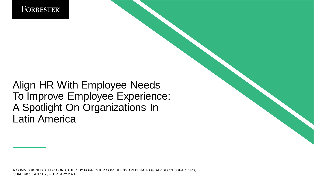

### Align HR With Employee Needs To Improve Employee Experience: A Spotlight On Organizations In Latin America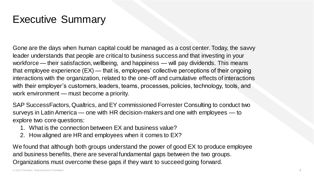### Executive Summary

Gone are the days when human capital could be managed as a cost center. Today, the savvy leader understands that people are critical to business success and that investing in your workforce — their satisfaction, wellbeing, and happiness — will pay dividends. This means that employee experience (EX) — that is, employees' collective perceptions of their ongoing interactions with the organization, related to the one-off and cumulative effects of interactions with their employer's customers, leaders, teams, processes, policies, technology, tools, and work environment — must become a priority.

SAP SuccessFactors, Qualtrics, and EY commissioned Forrester Consulting to conduct two surveys in Latin America — one with HR decision-makers and one with employees — to explore two core questions:

- 1. What is the connection between EX and business value?
- 2. How aligned are HR and employees when it comes to EX?

We found that although both groups understand the power of good EX to produce employee and business benefits, there are several fundamental gaps between the two groups. Organizations must overcome these gaps if they want to succeed going forward.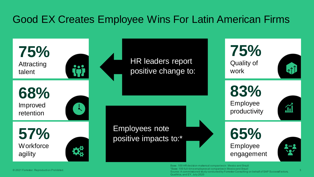## Good EX Creates Employee Wins For Latin American Firms

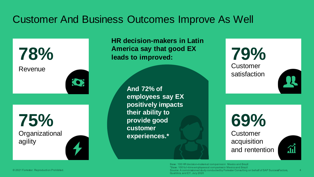### Customer And Business Outcomes Improve As Well

**78%** Revenue



**75% Organizational** agility

**HR decision-makers in Latin America say that good EX leads to improved:**

> **And 72% of employees say EX positively impacts their ability to provide good customer experiences.\***

**79% Customer** satisfaction

**69% Customer** acquisition and rentention

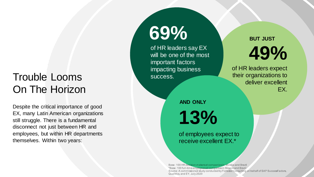## Trouble Looms On The Horizon

Despite the critical importance of good EX, many Latin American organizations still struggle. There is a fundamental disconnect not just between HR and employees, but within HR departments themselves. Within two years:

# **69%**

of HR leaders say EX will be one of the most important factors impacting business success.

**49% BUT JUST**

of HR leaders expect their organizations to deliver excellent EX.

**AND ONLY**

**13%**

of employees expect to receive excellent EX.\*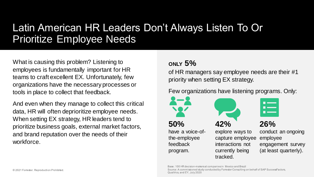### Latin American HR Leaders Don't Always Listen To Or Prioritize Employee Needs

What is causing this problem? Listening to employees is fundamentally important for HR teams to craft excellent EX. Unfortunately, few organizations have the necessary processes or tools in place to collect that feedback.

And even when they manage to collect this critical data, HR will often deprioritize employee needs. When setting EX strategy, HR leaders tend to prioritize business goals, external market factors, and brand reputation over the needs of their workforce.

### **ONLY 5%**

of HR managers say employee needs are their #1 priority when setting EX strategy.

#### Few organizations have listening programs. Only:





**26%** 

conduct an ongoing employee engagement survey (at least quarterly).

#### Base: 100 HR decision-makers at companies in Mexico and Brazil Source: A commissioned study conducted by Forrester Consulting on behalf of SAP SuccessFactors, Qualtrics, and EY, July 2020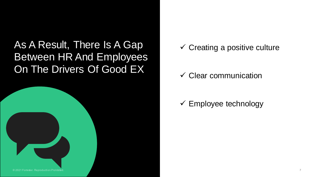As A Result, There Is A Gap Between HR And Employees On The Drivers Of Good EX



 $\checkmark$  Creating a positive culture

### $\checkmark$  Clear communication

### $\checkmark$  Employee technology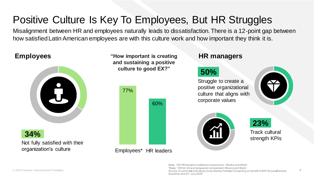## Positive Culture Is Key To Employees, But HR Struggles

Misalignment between HR and employees naturally leads to dissatisfaction. There is a 12-point gap between how satisfied Latin American employees are with this culture work and how important they think it is.

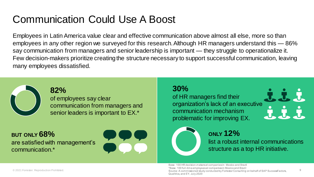## **Communication Could Use A Boost**

Employees in Latin America value clear and effective communication above almost all else, more so than employees in any other region we surveyed for this research. Although HR managers understand this — 86% say communication from managers and senior leadership is important — they struggle to operationalize it. Few decision-makers prioritize creating the structure necessary to support successful communication, leaving many employees dissatisfied.



#### **82%** of employees say clear communication from managers and senior leaders is important to EX.\*

#### **BUT ONLY 68%**  are satisfied with management's communication.\*



#### **30%**

of HR managers find their organization's lack of an executive communication mechanism problematic for improving EX.



9

### **ONLY 12%**

list a robust internal communications structure as a top HR initiative.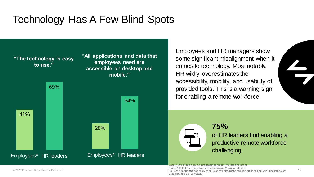### Technology Has A Few Blind Spots



Employees and HR managers show some significant misalignment when it comes to technology. Most notably, HR wildly overestimates the accessibility, mobility, and usability of provided tools. This is a warning sign for enabling a remote workforce.

**75%**  of HR leaders find enabling a productive remote workforce challenging.

Base: 100 HR decision-makers at companies in Mexico and Brazi

\*Base: 100 full-time employees at companies in Mexico and Brazil

Source: A commissioned study conducted by Forrester Consulting on behalf of SAP SuccessFactors, Qualtrics, and EY, July 2020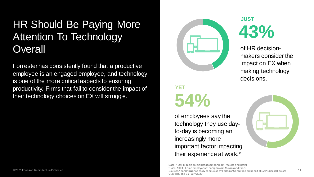## HR Should Be Paying More Attention To Technology Overall and the Contract of HR decision-

Forrester has consistently found that a productive employee is an engaged employee, and technology is one of the more critical aspects to ensuring productivity. Firms that fail to consider the impact of their technology choices on EX will struggle.



## **54% YET**

of employees say the technology they use dayto-day is becoming an increasingly more important factor impacting their experience at work.\*

**43% JUST**

makers consider the impact on EX when making technology decisions.

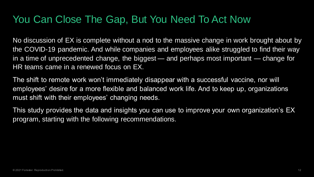### You Can Close The Gap, But You Need To Act Now

No discussion of EX is complete without a nod to the massive change in work brought about by the COVID-19 pandemic. And while companies and employees alike struggled to find their way in a time of unprecedented change, the biggest — and perhaps most important — change for HR teams came in a renewed focus on EX.

The shift to remote work won't immediately disappear with a successful vaccine, nor will employees' desire for a more flexible and balanced work life. And to keep up, organizations must shift with their employees' changing needs.

This study provides the data and insights you can use to improve your own organization's EX program, starting with the following recommendations.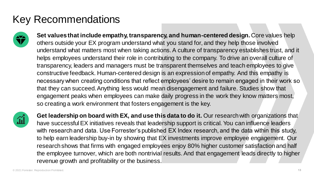## Key Recommendations



**Set values that include empathy, transparency, and human-centered design.** Core values help others outside your EX program understand what you stand for, and they help those involved understand what matters most when taking actions. A culture of transparency establishes trust, and it helps employees understand their role in contributing to the company. To drive an overall culture of transparency, leaders and managers must be transparent themselves and teach employees to give constructive feedback. Human-centered design is an expression of empathy. And this empathy is necessary when creating conditions that reflect employees' desire to remain engaged in their work so that they can succeed. Anything less would mean disengagement and failure. Studies show that engagement peaks when employees can make daily progress in the work they know matters most, so creating a work environment that fosters engagement is the key.



**Get leadership on board with EX, and use this data to do it.** Our research with organizations that have successful EX initiatives reveals that leadership support is critical. You can influence leaders with research and data. Use Forrester's published EX Index research, and the data within this study, to help earn leadership buy-in by showing that EX investments improve employee engagement. Our research shows that firms with engaged employees enjoy 80% higher customer satisfaction and half the employee turnover, which are both nontrivial results. And that engagement leads directly to higher revenue growth and profitability or the business.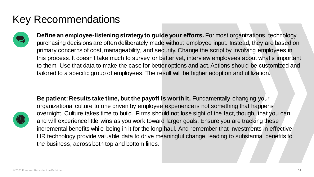### Key Recommendations



**Define an employee-listening strategy to guide your efforts.** For most organizations, technology purchasing decisions are often deliberately made without employee input. Instead, they are based on primary concerns of cost, manageability, and security. Change the script by involving employees in this process. It doesn't take much to survey, or better yet, interview employees about what's important to them. Use that data to make the case for better options and act. Actions should be customized and tailored to a specific group of employees. The result will be higher adoption and utilization.



**Be patient: Results take time, but the payoff is worth it.** Fundamentally changing your organizational culture to one driven by employee experience is not something that happens overnight. Culture takes time to build. Firms should not lose sight of the fact, though, that you can and will experience little wins as you work toward larger goals. Ensure you are tracking these incremental benefits while being in it for the long haul. And remember that investments in effective HR technology provide valuable data to drive meaningful change, leading to substantial benefits to the business, across both top and bottom lines.